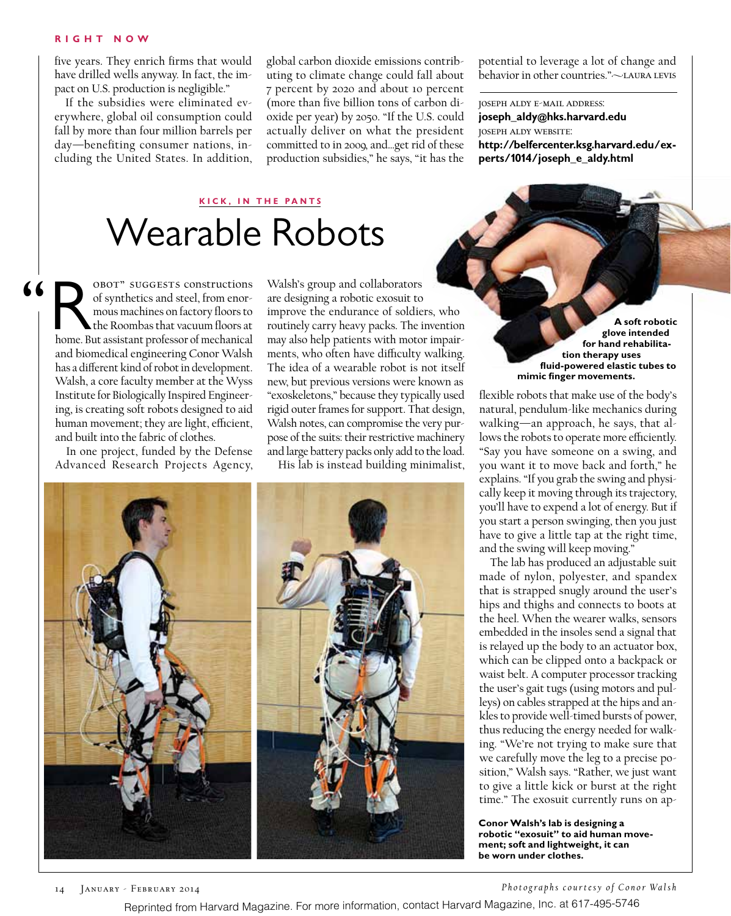#### **R ight Now**

five years. They enrich firms that would have drilled wells anyway. In fact, the impact on U.S. production is negligible."

If the subsidies were eliminated everywhere, global oil consumption could fall by more than four million barrels per day—benefiting consumer nations, including the United States. In addition, global carbon dioxide emissions contributing to climate change could fall about 7 percent by 2020 and about 10 percent (more than five billion tons of carbon dioxide per year) by 2050. "If the U.S. could actually deliver on what the president committed to in 2009, and…get rid of these production subsidies," he says, "it has the

potential to leverage a lot of change and behavior in other countries."~LAURA LEVIS

joseph aldy e-mail address: **joseph\_aldy@hks.harvard.edu** joseph aldy website: **http://belfercenter.ksg.harvard.edu/experts/1014/joseph\_e\_aldy.html**

### **kick, IN THE PANTS**

## Wearable Robots

 "Robot" suggests constructions home. But assistant professor of mechanical of synthetics and steel, from enormous machines on factory floors to the Roombas that vacuum floors at and biomedical engineering Conor Walsh has a different kind of robot in development. Walsh, a core faculty member at the Wyss Institute for Biologically Inspired Engineering, is creating soft robots designed to aid human movement; they are light, efficient, and built into the fabric of clothes.

> In one project, funded by the Defense Advanced Research Projects Agency,

Walsh's group and collaborators are designing a robotic exosuit to improve the endurance of soldiers, who routinely carry heavy packs. The invention may also help patients with motor impairments, who often have difficulty walking. The idea of a wearable robot is not itself new, but previous versions were known as "exoskeletons," because they typically used rigid outer frames for support. That design, Walsh notes, can compromise the very purpose of the suits: their restrictive machinery and large battery packs only add to the load.

His lab is instead building minimalist,



**A soft robotic glove intended for hand rehabilitation therapy uses fluid-powered elastic tubes to mimic finger movements.**

flexible robots that make use of the body's natural, pendulum-like mechanics during walking—an approach, he says, that allows the robots to operate more efficiently. "Say you have someone on a swing, and you want it to move back and forth," he explains. "If you grab the swing and physically keep it moving through its trajectory, you'll have to expend a lot of energy. But if you start a person swinging, then you just have to give a little tap at the right time, and the swing will keep moving."

The lab has produced an adjustable suit made of nylon, polyester, and spandex that is strapped snugly around the user's hips and thighs and connects to boots at the heel. When the wearer walks, sensors embedded in the insoles send a signal that is relayed up the body to an actuator box, which can be clipped onto a backpack or waist belt. A computer processor tracking the user's gait tugs (using motors and pulleys) on cables strapped at the hips and ankles to provide well-timed bursts of power, thus reducing the energy needed for walking. "We're not trying to make sure that we carefully move the leg to a precise position," Walsh says. "Rather, we just want to give a little kick or burst at the right time." The exosuit currently runs on ap-

**Conor Walsh's lab is designing a robotic "exosuit" to aid human movement; soft and lightweight, it can be worn under clothes.**

14 January - February 2014 *Ph o t o g ra p h s c o u r t e s y o f C o n o r Wa l s h*

Reprinted from Harvard Magazine. For more information, contact Harvard Magazine, Inc. at 617-495-5746